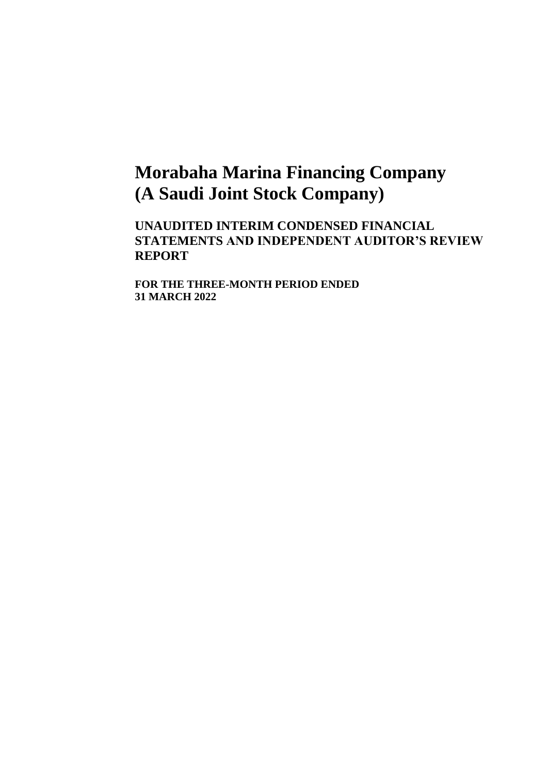# **Morabaha Marina Financing Company (A Saudi Joint Stock Company)**

**UNAUDITED INTERIM CONDENSED FINANCIAL STATEMENTS AND INDEPENDENT AUDITOR'S REVIEW REPORT**

**FOR THE THREE-MONTH PERIOD ENDED 31 MARCH 2022**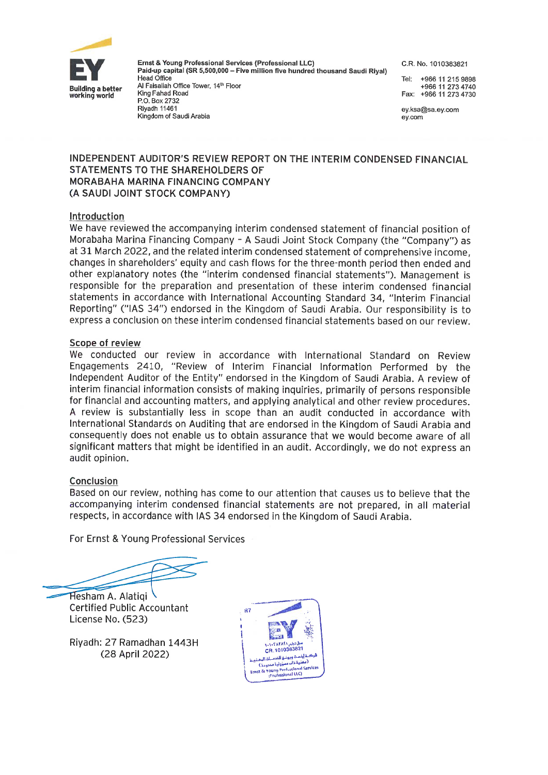

Ernst & Young Professional Services (Professional LLC) Paid-up capital (SR 5,500,000 - Five million five hundred thousand Saudi Rival) Head Office

Al Faisaliah Office Tower, 14th Floor King Fahad Road P.O. Box 2732 Rivadh 11461 Kingdom of Saudi Arabia

C.R. No. 1010383821

+966 11 215 9898 Tel<sup>.</sup> +966 11 273 4740 Fax: +966 11 273 4730

ev.ksa@sa ev.com ey.com

## INDEPENDENT AUDITOR'S REVIEW REPORT ON THE INTERIM CONDENSED FINANCIAL STATEMENTS TO THE SHAREHOLDERS OF **MORABAHA MARINA FINANCING COMPANY** (A SAUDI JOINT STOCK COMPANY)

## Introduction

We have reviewed the accompanying interim condensed statement of financial position of Morabaha Marina Financing Company - A Saudi Joint Stock Company (the "Company") as at 31 March 2022, and the related interim condensed statement of comprehensive income, changes in shareholders' equity and cash flows for the three-month period then ended and other explanatory notes (the "interim condensed financial statements"). Management is responsible for the preparation and presentation of these interim condensed financial statements in accordance with International Accounting Standard 34, "Interim Financial Reporting" ("IAS 34") endorsed in the Kingdom of Saudi Arabia. Our responsibility is to express a conclusion on these interim condensed financial statements based on our review.

### Scope of review

We conducted our review in accordance with International Standard on Review Engagements 2410, "Review of Interim Financial Information Performed by the Independent Auditor of the Entity" endorsed in the Kingdom of Saudi Arabia. A review of interim financial information consists of making inquiries, primarily of persons responsible for financial and accounting matters, and applying analytical and other review procedures. A review is substantially less in scope than an audit conducted in accordance with International Standards on Auditing that are endorsed in the Kingdom of Saudi Arabia and consequently does not enable us to obtain assurance that we would become aware of all significant matters that might be identified in an audit. Accordingly, we do not express an audit opinion.

## Conclusion

Based on our review, nothing has come to our attention that causes us to believe that the accompanying interim condensed financial statements are not prepared, in all material respects, in accordance with IAS 34 endorsed in the Kingdom of Saudi Arabia.

For Ernst & Young Professional Services

Hesham A. Alatigi **Certified Public Accountant** License No. (523)

Riyadh: 27 Ramadhan 1443H (28 April 2022)

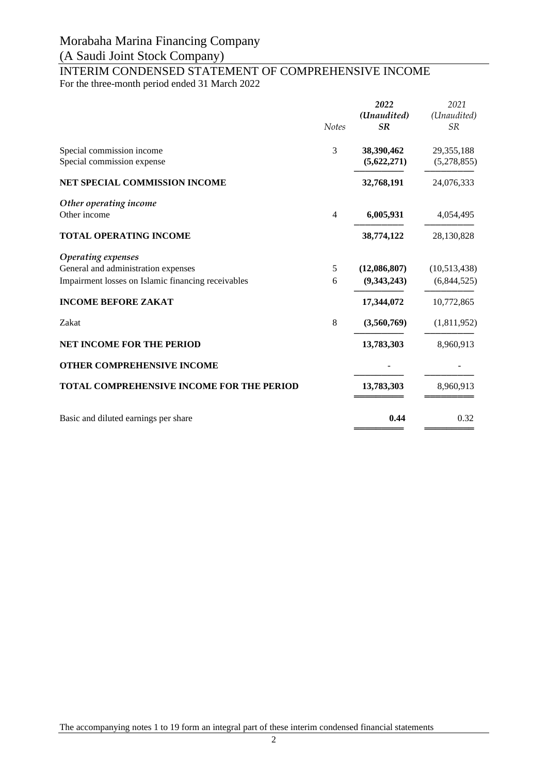## (A Saudi Joint Stock Company)

# INTERIM CONDENSED STATEMENT OF COMPREHENSIVE INCOME

For the three-month period ended 31 March 2022

|                                                                                                                 | <b>Notes</b>   | 2022<br>(Unaudited)<br>SR   | 2021<br>(Unaudited)<br><b>SR</b> |
|-----------------------------------------------------------------------------------------------------------------|----------------|-----------------------------|----------------------------------|
| Special commission income<br>Special commission expense                                                         | 3              | 38,390,462<br>(5,622,271)   | 29,355,188<br>(5,278,855)        |
| NET SPECIAL COMMISSION INCOME                                                                                   |                | 32,768,191                  | 24,076,333                       |
| Other operating income<br>Other income                                                                          | $\overline{4}$ | 6,005,931                   | 4,054,495                        |
| <b>TOTAL OPERATING INCOME</b>                                                                                   |                | 38,774,122                  | 28,130,828                       |
| Operating expenses<br>General and administration expenses<br>Impairment losses on Islamic financing receivables | 5<br>6         | (12,086,807)<br>(9,343,243) | (10,513,438)<br>(6,844,525)      |
| <b>INCOME BEFORE ZAKAT</b>                                                                                      |                | 17,344,072                  | 10,772,865                       |
| Zakat                                                                                                           | 8              | (3,560,769)                 | (1,811,952)                      |
| <b>NET INCOME FOR THE PERIOD</b>                                                                                |                | 13,783,303                  | 8,960,913                        |
| OTHER COMPREHENSIVE INCOME                                                                                      |                |                             |                                  |
| <b>TOTAL COMPREHENSIVE INCOME FOR THE PERIOD</b>                                                                |                | 13,783,303                  | 8,960,913                        |
| Basic and diluted earnings per share                                                                            |                | 0.44                        | 0.32                             |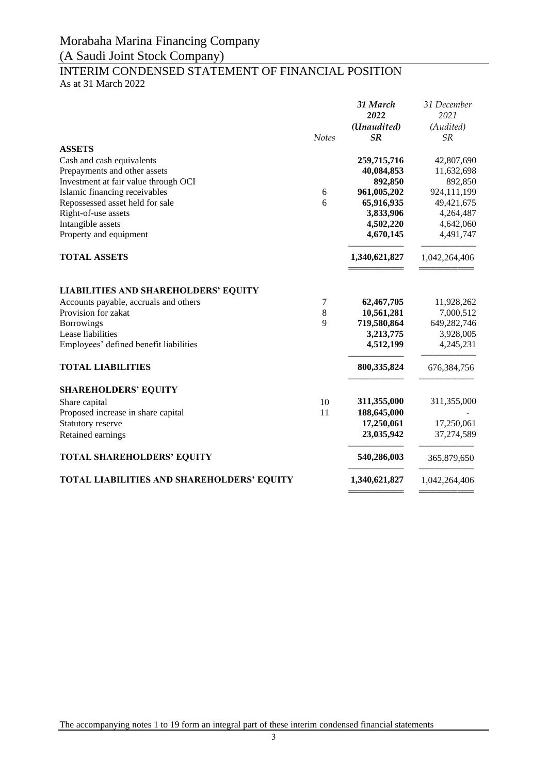## (A Saudi Joint Stock Company)

# INTERIM CONDENSED STATEMENT OF FINANCIAL POSITION

As at 31 March 2022

|                                                                                      |              | 31 March<br>2022<br>(Unaudited) | 31 December<br>2021<br>(Audited) |
|--------------------------------------------------------------------------------------|--------------|---------------------------------|----------------------------------|
|                                                                                      | <b>Notes</b> | SR                              | <b>SR</b>                        |
| <b>ASSETS</b><br>Cash and cash equivalents                                           |              | 259,715,716                     | 42,807,690                       |
| Prepayments and other assets                                                         |              | 40,084,853                      | 11,632,698                       |
| Investment at fair value through OCI                                                 |              | 892,850                         | 892,850                          |
| Islamic financing receivables                                                        | 6            | 961,005,202                     | 924,111,199                      |
| Repossessed asset held for sale                                                      | 6            | 65,916,935                      | 49,421,675                       |
| Right-of-use assets                                                                  |              | 3,833,906                       | 4,264,487                        |
| Intangible assets                                                                    |              | 4,502,220                       | 4,642,060                        |
| Property and equipment                                                               |              | 4,670,145                       | 4,491,747                        |
| <b>TOTAL ASSETS</b>                                                                  |              | 1,340,621,827                   | 1,042,264,406                    |
| <b>LIABILITIES AND SHAREHOLDERS' EQUITY</b><br>Accounts payable, accruals and others | 7            | 62,467,705                      | 11,928,262                       |
| Provision for zakat                                                                  | 8            | 10,561,281                      | 7,000,512                        |
| <b>Borrowings</b>                                                                    | 9            | 719,580,864                     | 649,282,746                      |
| Lease liabilities                                                                    |              | 3,213,775                       | 3,928,005                        |
| Employees' defined benefit liabilities                                               |              | 4,512,199                       | 4,245,231                        |
| <b>TOTAL LIABILITIES</b>                                                             |              | 800,335,824                     | 676, 384, 756                    |
| <b>SHAREHOLDERS' EQUITY</b>                                                          |              |                                 |                                  |
| Share capital                                                                        | 10           | 311,355,000                     | 311,355,000                      |
| Proposed increase in share capital                                                   | 11           | 188,645,000                     |                                  |
| Statutory reserve                                                                    |              | 17,250,061                      | 17,250,061                       |
| Retained earnings                                                                    |              | 23,035,942                      | 37,274,589                       |
| <b>TOTAL SHAREHOLDERS' EQUITY</b>                                                    |              | 540,286,003                     | 365,879,650                      |
| TOTAL LIABILITIES AND SHAREHOLDERS' EQUITY                                           |              | 1,340,621,827                   | 1,042,264,406                    |
|                                                                                      |              |                                 |                                  |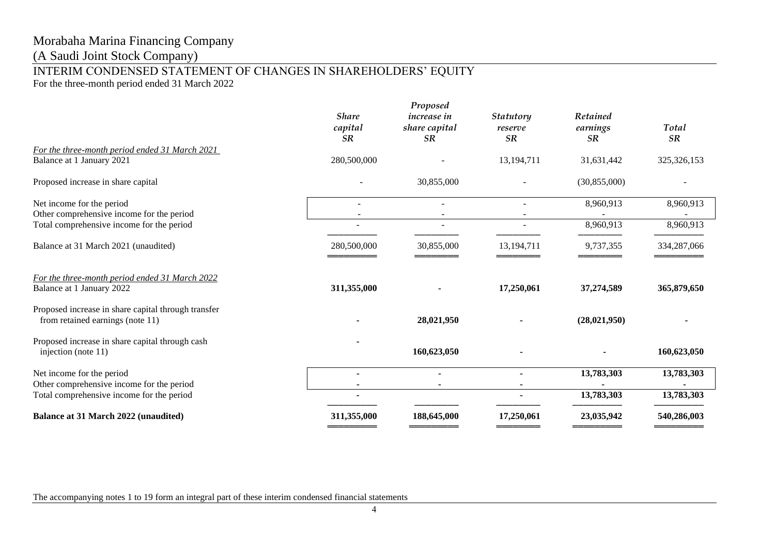(A Saudi Joint Stock Company)

## INTERIM CONDENSED STATEMENT OF CHANGES IN SHAREHOLDERS' EQUITY

For the three-month period ended 31 March 2022

|                                                                                         |                                      | Proposed                                         |                            |                            |                    |
|-----------------------------------------------------------------------------------------|--------------------------------------|--------------------------------------------------|----------------------------|----------------------------|--------------------|
|                                                                                         | <b>Share</b><br>capital<br><b>SR</b> | <i>increase in</i><br>share capital<br><b>SR</b> | Statutory<br>reserve<br>SR | Retained<br>earnings<br>SR | Total<br><b>SR</b> |
| For the three-month period ended 31 March 2021                                          |                                      |                                                  |                            |                            |                    |
| Balance at 1 January 2021                                                               | 280,500,000                          |                                                  | 13,194,711                 | 31,631,442                 | 325, 326, 153      |
| Proposed increase in share capital                                                      |                                      | 30,855,000                                       |                            | (30, 855, 000)             |                    |
| Net income for the period                                                               |                                      |                                                  |                            | 8,960,913                  | 8,960,913          |
| Other comprehensive income for the period                                               |                                      |                                                  |                            |                            |                    |
| Total comprehensive income for the period                                               |                                      |                                                  | $\overline{\phantom{a}}$   | 8,960,913                  | 8,960,913          |
| Balance at 31 March 2021 (unaudited)                                                    | 280,500,000                          | 30,855,000                                       | 13,194,711                 | 9,737,355                  | 334,287,066        |
| For the three-month period ended 31 March 2022<br>Balance at 1 January 2022             | 311,355,000                          |                                                  | 17,250,061                 | 37,274,589                 | 365,879,650        |
| Proposed increase in share capital through transfer<br>from retained earnings (note 11) |                                      | 28,021,950                                       |                            | (28,021,950)               |                    |
| Proposed increase in share capital through cash<br>injection (note 11)                  |                                      | 160,623,050                                      |                            |                            | 160,623,050        |
| Net income for the period                                                               |                                      |                                                  |                            | 13,783,303                 | 13,783,303         |
| Other comprehensive income for the period                                               | $\blacksquare$                       |                                                  | $\blacksquare$             |                            |                    |
| Total comprehensive income for the period                                               |                                      |                                                  |                            | 13,783,303                 | 13,783,303         |
| <b>Balance at 31 March 2022 (unaudited)</b>                                             | 311,355,000                          | 188,645,000                                      | 17,250,061                 | 23,035,942                 | 540,286,003        |
|                                                                                         |                                      |                                                  |                            |                            |                    |

The accompanying notes 1 to 19 form an integral part of these interim condensed financial statements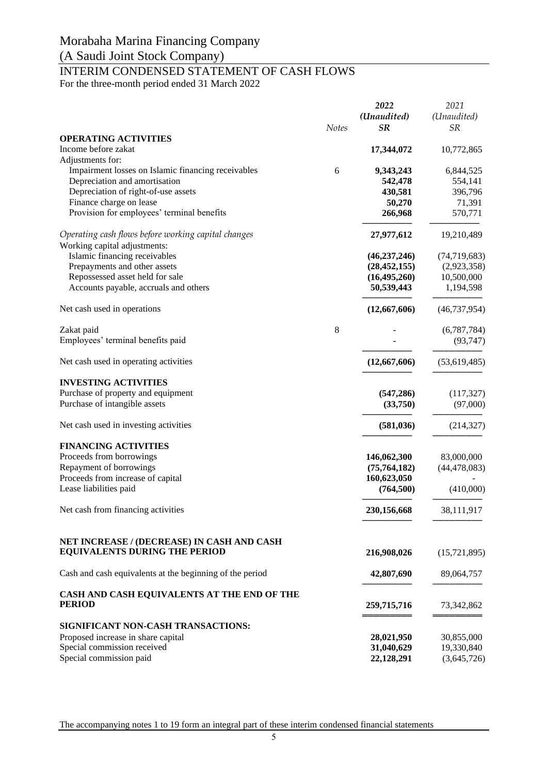## (A Saudi Joint Stock Company)

# INTERIM CONDENSED STATEMENT OF CASH FLOWS

For the three-month period ended 31 March 2022

|                                                          |              | 2022<br>(Unaudited) | 2021<br>(Unaudited) |
|----------------------------------------------------------|--------------|---------------------|---------------------|
|                                                          | <b>Notes</b> | <b>SR</b>           | <b>SR</b>           |
| <b>OPERATING ACTIVITIES</b>                              |              |                     |                     |
| Income before zakat                                      |              | 17,344,072          | 10,772,865          |
| Adjustments for:                                         |              |                     |                     |
| Impairment losses on Islamic financing receivables       | 6            | 9,343,243           | 6,844,525           |
| Depreciation and amortisation                            |              | 542,478             | 554,141             |
| Depreciation of right-of-use assets                      |              | 430,581             | 396,796             |
| Finance charge on lease                                  |              | 50,270              | 71,391              |
| Provision for employees' terminal benefits               |              | 266,968             | 570,771             |
| Operating cash flows before working capital changes      |              | 27,977,612          | 19,210,489          |
| Working capital adjustments:                             |              |                     |                     |
| Islamic financing receivables                            |              | (46, 237, 246)      | (74, 719, 683)      |
| Prepayments and other assets                             |              | (28, 452, 155)      | (2,923,358)         |
| Repossessed asset held for sale                          |              | (16, 495, 260)      | 10,500,000          |
| Accounts payable, accruals and others                    |              | 50,539,443          | 1,194,598           |
| Net cash used in operations                              |              | (12,667,606)        | (46, 737, 954)      |
| Zakat paid                                               | 8            |                     | (6,787,784)         |
| Employees' terminal benefits paid                        |              |                     | (93, 747)           |
| Net cash used in operating activities                    |              | (12,667,606)        | (53,619,485)        |
| <b>INVESTING ACTIVITIES</b>                              |              |                     |                     |
| Purchase of property and equipment                       |              | (547, 286)          | (117, 327)          |
| Purchase of intangible assets                            |              | (33,750)            | (97,000)            |
| Net cash used in investing activities                    |              | (581, 036)          | (214, 327)          |
| <b>FINANCING ACTIVITIES</b>                              |              |                     |                     |
| Proceeds from borrowings                                 |              | 146,062,300         | 83,000,000          |
| Repayment of borrowings                                  |              | (75,764,182)        | (44, 478, 083)      |
| Proceeds from increase of capital                        |              | 160,623,050         |                     |
| Lease liabilities paid                                   |              | (764, 500)          | (410,000)           |
| Net cash from financing activities                       |              | 230,156,668         | 38,111,917          |
| NET INCREASE / (DECREASE) IN CASH AND CASH               |              |                     |                     |
| <b>EQUIVALENTS DURING THE PERIOD</b>                     |              | 216,908,026         | (15, 721, 895)      |
| Cash and cash equivalents at the beginning of the period |              | 42,807,690          | 89,064,757          |
| CASH AND CASH EQUIVALENTS AT THE END OF THE              |              |                     |                     |
| <b>PERIOD</b>                                            |              | 259,715,716         | 73, 342, 862        |
| SIGNIFICANT NON-CASH TRANSACTIONS:                       |              |                     |                     |
| Proposed increase in share capital                       |              | 28,021,950          | 30,855,000          |
| Special commission received                              |              | 31,040,629          | 19,330,840          |
| Special commission paid                                  |              | 22,128,291          | (3,645,726)         |

The accompanying notes 1 to 19 form an integral part of these interim condensed financial statements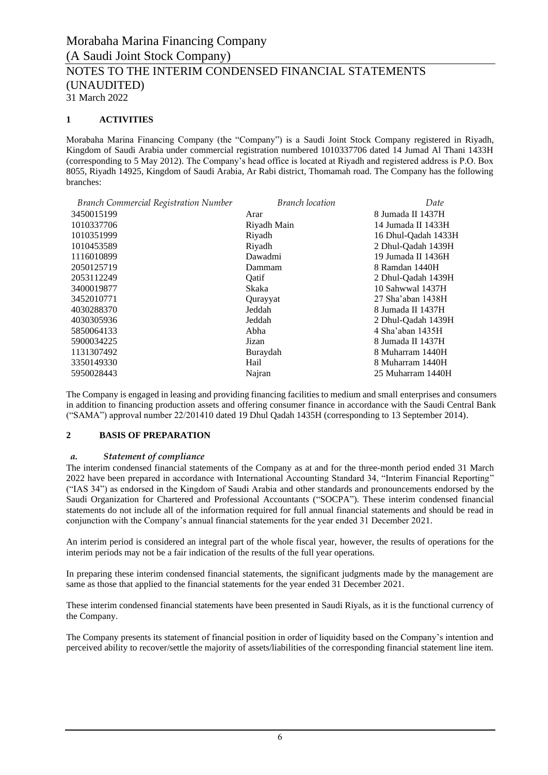## **1 ACTIVITIES**

Morabaha Marina Financing Company (the "Company") is a Saudi Joint Stock Company registered in Riyadh, Kingdom of Saudi Arabia under commercial registration numbered 1010337706 dated 14 Jumad Al Thani 1433H (corresponding to 5 May 2012). The Company's head office is located at Riyadh and registered address is P.O. Box 8055, Riyadh 14925, Kingdom of Saudi Arabia, Ar Rabi district, Thomamah road. The Company has the following branches:

| <b>Branch Commercial Registration Number</b> | <b>Branch</b> location | Date                   |
|----------------------------------------------|------------------------|------------------------|
| 3450015199                                   | Arar                   | 8 Jumada II 1437H      |
| 1010337706                                   | Riyadh Main            | 14 Jumada II 1433H     |
| 1010351999                                   | Riyadh                 | 16 Dhul-Qadah 1433H    |
| 1010453589                                   | Riyadh                 | 2 Dhul-Qadah 1439H     |
| 1116010899                                   | Dawadmi                | 19 Jumada II 1436H     |
| 2050125719                                   | Dammam                 | 8 Ramdan 1440H         |
| 2053112249                                   | Oatif                  | 2 Dhul-Qadah 1439H     |
| 3400019877                                   | Skaka                  | 10 Sahwwal 1437H       |
| 3452010771                                   | Qurayyat               | $27$ Sha'aban 1438 $H$ |
| 4030288370                                   | Jeddah                 | 8 Jumada II 1437H      |
| 4030305936                                   | Jeddah                 | 2 Dhul-Qadah 1439H     |
| 5850064133                                   | Abha                   | 4 Sha'aban 1435H       |
| 5900034225                                   | Jizan                  | 8 Jumada II 1437H      |
| 1131307492                                   | Buraydah               | 8 Muharram 1440H       |
| 3350149330                                   | Hail                   | 8 Muharram 1440H       |
| 5950028443                                   | Najran                 | 25 Muharram 1440H      |
|                                              |                        |                        |

The Company is engaged in leasing and providing financing facilities to medium and small enterprises and consumers in addition to financing production assets and offering consumer finance in accordance with the Saudi Central Bank ("SAMA") approval number 22/201410 dated 19 Dhul Qadah 1435H (corresponding to 13 September 2014).

## **2 BASIS OF PREPARATION**

#### *a. Statement of compliance*

The interim condensed financial statements of the Company as at and for the three-month period ended 31 March 2022 have been prepared in accordance with International Accounting Standard 34, "Interim Financial Reporting" ("IAS 34") as endorsed in the Kingdom of Saudi Arabia and other standards and pronouncements endorsed by the Saudi Organization for Chartered and Professional Accountants ("SOCPA"). These interim condensed financial statements do not include all of the information required for full annual financial statements and should be read in conjunction with the Company's annual financial statements for the year ended 31 December 2021.

An interim period is considered an integral part of the whole fiscal year, however, the results of operations for the interim periods may not be a fair indication of the results of the full year operations.

In preparing these interim condensed financial statements, the significant judgments made by the management are same as those that applied to the financial statements for the year ended 31 December 2021.

These interim condensed financial statements have been presented in Saudi Riyals, as it is the functional currency of the Company.

The Company presents its statement of financial position in order of liquidity based on the Company's intention and perceived ability to recover/settle the majority of assets/liabilities of the corresponding financial statement line item.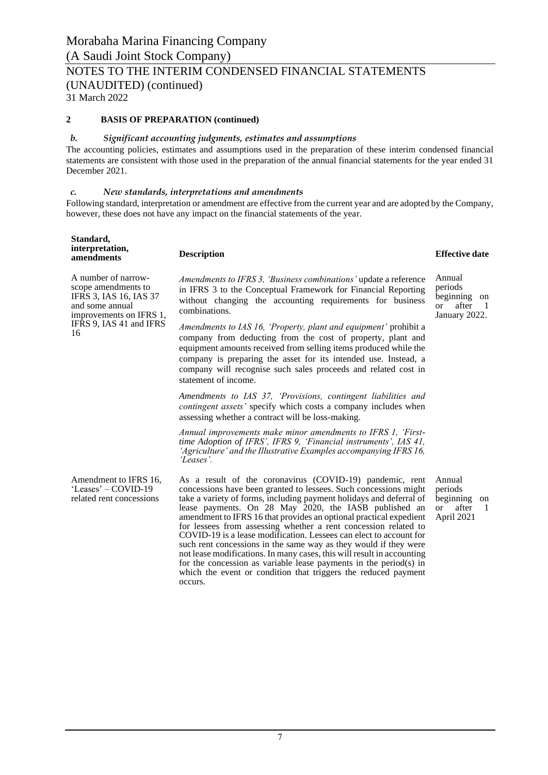NOTES TO THE INTERIM CONDENSED FINANCIAL STATEMENTS (UNAUDITED) (continued)

31 March 2022

## **2 BASIS OF PREPARATION (continued)**

#### *b. Significant accounting judgments, estimates and assumptions*

The accounting policies, estimates and assumptions used in the preparation of these interim condensed financial statements are consistent with those used in the preparation of the annual financial statements for the year ended 31 December 2021.

#### *c. New standards, interpretations and amendments*

Following standard, interpretation or amendment are effective from the current year and are adopted by the Company, however, these does not have any impact on the financial statements of the year.

| Standard,                     |                    |                       |
|-------------------------------|--------------------|-----------------------|
| interpretation,<br>amendments | <b>Description</b> | <b>Effective date</b> |

A number of narrowscope amendments to IFRS 3, IAS 16, IAS 37 and some annual improvements on IFRS 1, IFRS 9, IAS 41 and IFRS 16

*Amendments to IFRS 3, 'Business combinations'* update a reference in IFRS 3 to the Conceptual Framework for Financial Reporting without changing the accounting requirements for business combinations.

*Amendments to IAS 16, 'Property, plant and equipment'* prohibit a company from deducting from the cost of property, plant and equipment amounts received from selling items produced while the company is preparing the asset for its intended use. Instead, a company will recognise such sales proceeds and related cost in statement of income.

*Amendments to IAS 37, 'Provisions, contingent liabilities and contingent assets'* specify which costs a company includes when assessing whether a contract will be loss-making.

*Annual improvements make minor amendments to IFRS 1, 'Firsttime Adoption of IFRS', IFRS 9, 'Financial instruments', IAS 41, 'Agriculture' and the Illustrative Examples accompanying IFRS 16, 'Leases'.*

Amendment to IFRS 16, 'Leases' – COVID-19 related rent concessions

As a result of the coronavirus (COVID-19) pandemic, rent concessions have been granted to lessees. Such concessions might take a variety of forms, including payment holidays and deferral of lease payments. On 28 May 2020, the IASB published an amendment to IFRS 16 that provides an optional practical expedient for lessees from assessing whether a rent concession related to COVID-19 is a lease modification. Lessees can elect to account for such rent concessions in the same way as they would if they were not lease modifications. In many cases, this will result in accounting for the concession as variable lease payments in the period(s) in which the event or condition that triggers the reduced payment occurs.

Annual periods beginning on or after 1 April 2021

Annual periods beginning on or after 1 January 2022.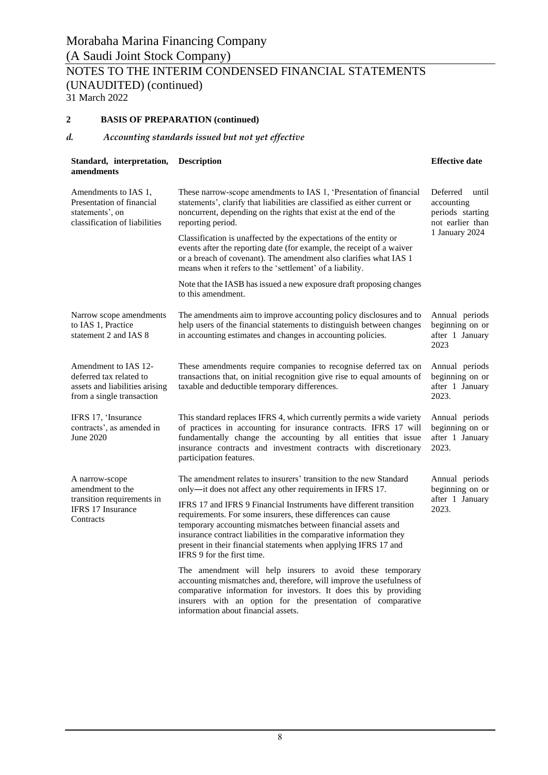## **2 BASIS OF PREPARATION (continued)**

## *d. Accounting standards issued but not yet effective*

| Standard, interpretation,<br>amendments                                                                        | <b>Description</b>                                                                                                                                                                                                                                                                                                                                                        | <b>Effective date</b>                                                                     |  |  |
|----------------------------------------------------------------------------------------------------------------|---------------------------------------------------------------------------------------------------------------------------------------------------------------------------------------------------------------------------------------------------------------------------------------------------------------------------------------------------------------------------|-------------------------------------------------------------------------------------------|--|--|
| Amendments to IAS 1,<br>Presentation of financial<br>statements', on<br>classification of liabilities          | These narrow-scope amendments to IAS 1, 'Presentation of financial<br>statements', clarify that liabilities are classified as either current or<br>noncurrent, depending on the rights that exist at the end of the<br>reporting period.                                                                                                                                  | Deferred<br>until<br>accounting<br>periods starting<br>not earlier than<br>1 January 2024 |  |  |
|                                                                                                                | Classification is unaffected by the expectations of the entity or<br>events after the reporting date (for example, the receipt of a waiver<br>or a breach of covenant). The amendment also clarifies what IAS 1<br>means when it refers to the 'settlement' of a liability.                                                                                               |                                                                                           |  |  |
|                                                                                                                | Note that the IASB has issued a new exposure draft proposing changes<br>to this amendment.                                                                                                                                                                                                                                                                                |                                                                                           |  |  |
| Narrow scope amendments<br>to IAS 1, Practice<br>statement 2 and IAS 8                                         | The amendments aim to improve accounting policy disclosures and to<br>help users of the financial statements to distinguish between changes<br>in accounting estimates and changes in accounting policies.                                                                                                                                                                | Annual periods<br>beginning on or<br>after 1 January<br>2023                              |  |  |
| Amendment to IAS 12-<br>deferred tax related to<br>assets and liabilities arising<br>from a single transaction | These amendments require companies to recognise deferred tax on<br>transactions that, on initial recognition give rise to equal amounts of<br>taxable and deductible temporary differences.                                                                                                                                                                               | Annual periods<br>beginning on or<br>after 1 January<br>2023.                             |  |  |
| IFRS 17, 'Insurance<br>contracts', as amended in<br>June 2020                                                  | This standard replaces IFRS 4, which currently permits a wide variety<br>of practices in accounting for insurance contracts. IFRS 17 will<br>fundamentally change the accounting by all entities that issue<br>insurance contracts and investment contracts with discretionary<br>participation features.                                                                 | Annual periods<br>beginning on or<br>after 1 January<br>2023.                             |  |  |
| A narrow-scope<br>amendment to the                                                                             | The amendment relates to insurers' transition to the new Standard<br>Annual periods<br>only—it does not affect any other requirements in IFRS 17.                                                                                                                                                                                                                         |                                                                                           |  |  |
| transition requirements in<br><b>IFRS</b> 17 Insurance<br>Contracts                                            | IFRS 17 and IFRS 9 Financial Instruments have different transition<br>requirements. For some insurers, these differences can cause<br>temporary accounting mismatches between financial assets and<br>insurance contract liabilities in the comparative information they<br>present in their financial statements when applying IFRS 17 and<br>IFRS 9 for the first time. | beginning on or<br>after 1 January<br>2023.                                               |  |  |
|                                                                                                                | The amendment will help insurers to avoid these temporary<br>accounting mismatches and, therefore, will improve the usefulness of<br>comparative information for investors. It does this by providing<br>insurers with an option for the presentation of comparative                                                                                                      |                                                                                           |  |  |

information about financial assets.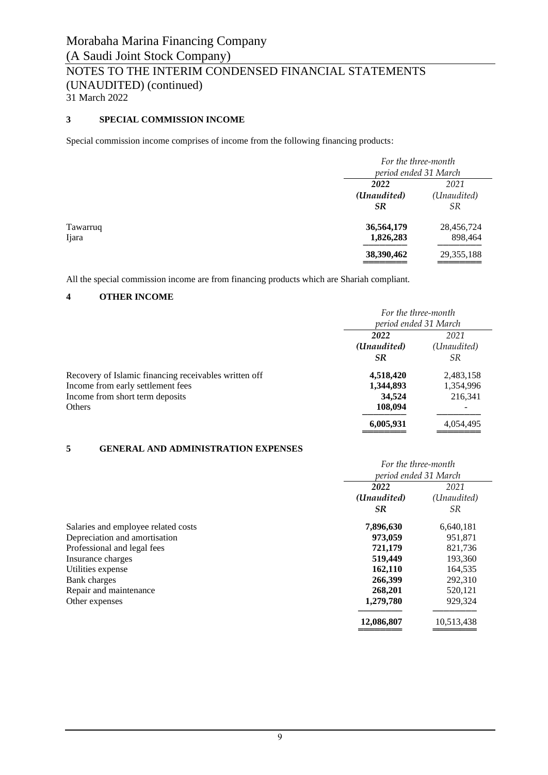## **3 SPECIAL COMMISSION INCOME**

Special commission income comprises of income from the following financing products:

|                   | For the three-month<br>period ended 31 March |                                  |
|-------------------|----------------------------------------------|----------------------------------|
|                   | 2022<br>(Unaudited)<br><b>SR</b>             | 2021<br>(Unaudited)<br><b>SR</b> |
| Tawarruq<br>Ijara | 36,564,179<br>1,826,283                      | 28,456,724<br>898,464            |
|                   | 38,390,462                                   | 29, 355, 188                     |

All the special commission income are from financing products which are Shariah compliant.

## **4 OTHER INCOME**

|                                                       | For the three-month        |           |  |  |
|-------------------------------------------------------|----------------------------|-----------|--|--|
|                                                       | period ended 31 March      |           |  |  |
|                                                       | 2022<br>2021               |           |  |  |
|                                                       | (Unaudited)<br>(Unaudited) |           |  |  |
|                                                       | SR                         | <i>SR</i> |  |  |
| Recovery of Islamic financing receivables written off | 4,518,420                  | 2,483,158 |  |  |
| Income from early settlement fees                     | 1,344,893                  | 1,354,996 |  |  |
| Income from short term deposits                       | 34.524                     | 216,341   |  |  |
| Others                                                | 108,094                    |           |  |  |
|                                                       | 6,005,931                  | 4,054,495 |  |  |

## **5 GENERAL AND ADMINISTRATION EXPENSES**

| For the three-month   |             |  |  |
|-----------------------|-------------|--|--|
| period ended 31 March |             |  |  |
| 2022<br>2021          |             |  |  |
| (Unaudited)           | (Unaudited) |  |  |
| <b>SR</b>             | <i>SR</i>   |  |  |
| 7,896,630             | 6,640,181   |  |  |
| 973,059               | 951,871     |  |  |
| 721,179               | 821,736     |  |  |
| 519,449               | 193,360     |  |  |
| 162,110               | 164,535     |  |  |
| 266,399               | 292,310     |  |  |
| 268,201               | 520,121     |  |  |
| 1,279,780             | 929,324     |  |  |
| 12,086,807            | 10,513,438  |  |  |
|                       |             |  |  |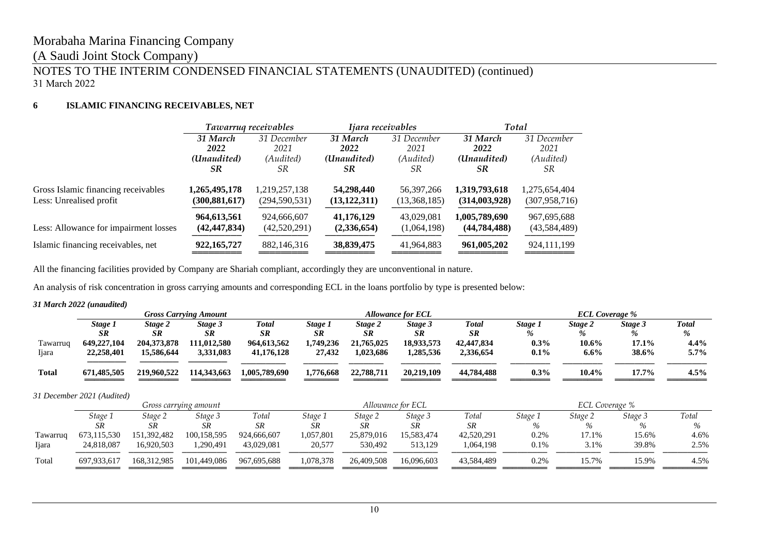## (A Saudi Joint Stock Company)

## NOTES TO THE INTERIM CONDENSED FINANCIAL STATEMENTS (UNAUDITED) (continued) 31 March 2022

## **6 ISLAMIC FINANCING RECEIVABLES, NET**

|                                       |                 | Tawarruq receivables | Ijara receivables |              | Total          |                 |  |
|---------------------------------------|-----------------|----------------------|-------------------|--------------|----------------|-----------------|--|
|                                       | 31 March        | 31 December          | 31 March          | 31 December  | 31 March       | 31 December     |  |
|                                       | 2022            | 2021                 | 2022              | 2021         | 2022           | 2021            |  |
|                                       | (Unaudited)     | (Audited)            | (Unaudited)       | (Audited)    | (Unaudited)    | (Audited)       |  |
|                                       | SR              | SR.                  | <b>SR</b>         | SR           | SR.            | SR.             |  |
| Gross Islamic financing receivables   | 1,265,495,178   | 1,219,257,138        | 54,298,440        | 56,397,266   | 1,319,793,618  | 1,275,654,404   |  |
| Less: Unrealised profit               | (300, 881, 617) | (294, 590, 531)      | (13, 122, 311)    | (13,368,185) | (314,003,928)  | (307, 958, 716) |  |
| Less: Allowance for impairment losses | 964, 613, 561   | 924,666,607          | 41,176,129        | 43,029,081   | 1,005,789,690  | 967,695,688     |  |
|                                       | (42, 447, 834)  | (42,520,291)         | (2,336,654)       | (1,064,198)  | (44, 784, 488) | (43,584,489)    |  |
| Islamic financing receivables, net    | 922, 165, 727   | 882,146,316          | 38,839,475        | 41,964,883   | 961,005,202    | 924,111,199     |  |

All the financing facilities provided by Company are Shariah compliant, accordingly they are unconventional in nature.

An analysis of risk concentration in gross carrying amounts and corresponding ECL in the loans portfolio by type is presented below:

#### *31 March 2022 (unaudited)*

|              | <b>Gross Carrying Amount</b> |             |             |               |           | <b>Allowance for ECL</b> |            | <b>ECL Coverage %</b> |         |         |          |              |
|--------------|------------------------------|-------------|-------------|---------------|-----------|--------------------------|------------|-----------------------|---------|---------|----------|--------------|
|              | Stage 1                      | Stage 2     | Stage 3     | <b>Total</b>  | Stage 1   | Stage 2                  | Stage 3    | Total                 | Stage 1 | Stage 2 | Stage 3  | <b>Total</b> |
|              | <b>SR</b>                    | <b>SR</b>   | SR          | <b>SR</b>     | <b>SR</b> | <b>SR</b>                | <b>SR</b>  | <b>SR</b>             |         |         | %        | %            |
| Tawarruq     | 649,227,104                  | 204.373.878 | 111.012.580 | 964,613,562   | .749.236  | 21,765,025               | 18.933.573 | 42,447,834            | $0.3\%$ | 10.6%   | $17.1\%$ | 4.4%         |
| Ijara        | 22,258,401                   | 15,586,644  | 3,331,083   | 41,176,128    | 27,432    | 1,023,686                | .285,536   | 2,336,654             | $0.1\%$ | $6.6\%$ | 38.6%    | 5.7%         |
|              |                              |             |             |               |           |                          |            |                       |         |         |          |              |
| <b>Total</b> | 671.485.505                  | 219,960,522 | 114,343,663 | 1,005,789,690 | 1,776,668 | 22,788,711               | 20.219.109 | 44.784.488            | $0.3\%$ | 10.4%   | 17.7%    | $4.5\%$      |
|              |                              |             |             |               |           |                          |            |                       |         |         |          |              |

*31 December 2021 (Audited)*

|               | Gross carruing amount |               |             | Allowance for ECL |           |            |            | ECL Coverage % |         |         |         |       |
|---------------|-----------------------|---------------|-------------|-------------------|-----------|------------|------------|----------------|---------|---------|---------|-------|
|               | Stage 1               | Stage 2       | Stage 3     | Total             | Stage 1   | Stage 2    | Stage 3    | Total          | Stage 1 | Stage 2 | Stage 3 | Total |
|               | <b>SR</b>             | SR            | SR          | SR                | SR        | SR         | SR         | SR             |         |         |         | $\%$  |
| Tawarruq      | 673,115,530           | 151,392,482   | 100,158,595 | 924,666,607       | 1,057,801 | 25,879,016 | 15.583.474 | 42,520,291     | 0.2%    | 17.1%   | 15.6%   | 4.6%  |
| <b>I</b> jara | 24,818,087            | 16.920.503    | 1.290.491   | 43,029,081        | 20,577    | 530.492    | 513.129    | 1.064.198      | 0.1%    | 3.1%    | 39.8%   | 2.5%  |
| Total         | 697.933.617           | 168, 312, 985 | 101,449,086 | 967,695,688       | 1.078.378 | 26,409,508 | 16,096,603 | 43.584.489     | 0.2%    | 15.7%   | 15.9%   | 4.5%  |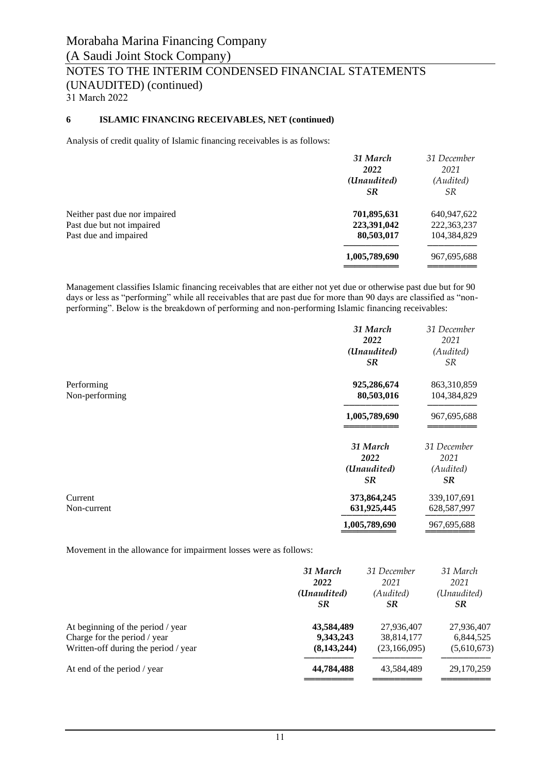## **6 ISLAMIC FINANCING RECEIVABLES, NET (continued)**

Analysis of credit quality of Islamic financing receivables is as follows:

|                               | 31 March      | 31 December |
|-------------------------------|---------------|-------------|
|                               | 2022          | 2021        |
|                               | (Unaudited)   | (Audited)   |
|                               | <b>SR</b>     | <i>SR</i>   |
| Neither past due nor impaired | 701,895,631   | 640,947,622 |
| Past due but not impaired     | 223,391,042   | 222,363,237 |
| Past due and impaired         | 80,503,017    | 104,384,829 |
|                               | 1,005,789,690 | 967,695,688 |
|                               |               |             |

Management classifies Islamic financing receivables that are either not yet due or otherwise past due but for 90 days or less as "performing" while all receivables that are past due for more than 90 days are classified as "nonperforming". Below is the breakdown of performing and non-performing Islamic financing receivables:

|                              | 31 March<br>2022<br>(Unaudited)<br><b>SR</b> | 31 December<br>2021<br>(Audited)<br><i>SR</i> |
|------------------------------|----------------------------------------------|-----------------------------------------------|
| Performing<br>Non-performing | 925,286,674<br>80,503,016                    | 863,310,859<br>104,384,829                    |
|                              | 1,005,789,690                                | 967,695,688                                   |
|                              | 31 March<br>2022<br>(Unaudited)<br><b>SR</b> | 31 December<br>2021<br>(Audited)<br><b>SR</b> |
| Current<br>Non-current       | 373,864,245<br>631,925,445<br>1,005,789,690  | 339,107,691<br>628,587,997<br>967,695,688     |

Movement in the allowance for impairment losses were as follows:

|                                      | 31 March      | 31 December  | 31 March    |
|--------------------------------------|---------------|--------------|-------------|
|                                      | 2022          | 2021         | 2021        |
|                                      | (Unaudited)   | (Audited)    | (Unaudited) |
|                                      | <b>SR</b>     | SR           | SR.         |
| At beginning of the period / year    | 43,584,489    | 27,936,407   | 27,936,407  |
| Charge for the period / year         | 9,343,243     | 38,814,177   | 6,844,525   |
| Written-off during the period / year | (8, 143, 244) | (23,166,095) | (5,610,673) |
| At end of the period / year          | 44,784,488    | 43,584,489   | 29,170,259  |
|                                      |               |              |             |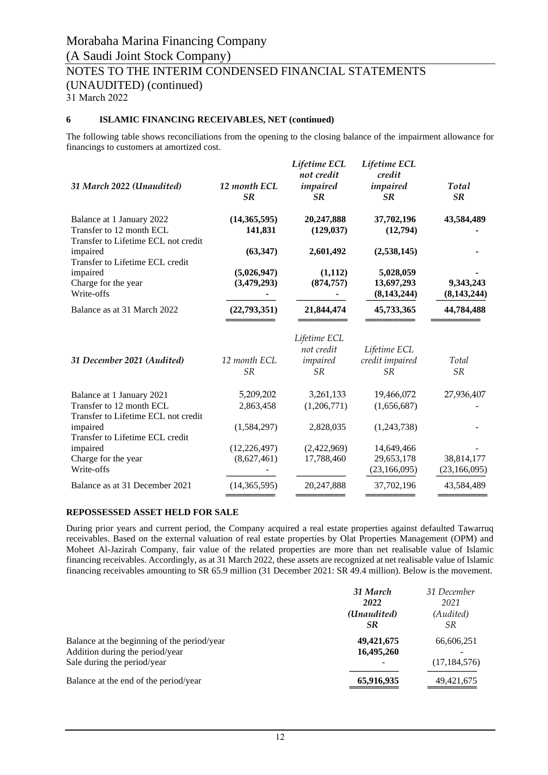31 March 2022

## **6 ISLAMIC FINANCING RECEIVABLES, NET (continued)**

The following table shows reconciliations from the opening to the closing balance of the impairment allowance for financings to customers at amortized cost.

| 31 March 2022 (Unaudited)                                                                    | 12 month ECL<br><b>SR</b>     | Lifetime ECL<br>not credit<br>impaired<br><b>SR</b> | Lifetime ECL<br>credit<br>impaired<br><b>SR</b> | Total<br>SR                  |
|----------------------------------------------------------------------------------------------|-------------------------------|-----------------------------------------------------|-------------------------------------------------|------------------------------|
| Balance at 1 January 2022<br>Transfer to 12 month ECL<br>Transfer to Lifetime ECL not credit | (14, 365, 595)<br>141,831     | 20,247,888<br>(129, 037)                            | 37,702,196<br>(12,794)                          | 43,584,489                   |
| impaired<br>Transfer to Lifetime ECL credit                                                  | (63, 347)                     | 2,601,492                                           | (2,538,145)                                     |                              |
| impaired<br>Charge for the year<br>Write-offs                                                | (5,026,947)<br>(3,479,293)    | (1,112)<br>(874, 757)                               | 5,028,059<br>13,697,293<br>(8, 143, 244)        | 9,343,243<br>(8, 143, 244)   |
| Balance as at 31 March 2022                                                                  | (22, 793, 351)                | 21,844,474                                          | 45,733,365                                      | 44,784,488                   |
| 31 December 2021 (Audited)                                                                   | 12 month ECL<br><b>SR</b>     | Lifetime ECL<br>not credit<br>impaired<br><b>SR</b> | Lifetime ECL<br>credit impaired<br><b>SR</b>    | Total<br><b>SR</b>           |
| Balance at 1 January 2021<br>Transfer to 12 month ECL<br>Transfer to Lifetime ECL not credit | 5,209,202<br>2,863,458        | 3,261,133<br>(1,206,771)                            | 19,466,072<br>(1,656,687)                       | 27,936,407                   |
| impaired<br>Transfer to Lifetime ECL credit                                                  | (1,584,297)                   | 2,828,035                                           | (1,243,738)                                     |                              |
| impaired<br>Charge for the year<br>Write-offs                                                | (12, 226, 497)<br>(8,627,461) | (2,422,969)<br>17,788,460                           | 14,649,466<br>29,653,178<br>(23, 166, 095)      | 38,814,177<br>(23, 166, 095) |
| Balance as at 31 December 2021                                                               | (14, 365, 595)                | 20,247,888                                          | 37,702,196                                      | 43,584,489                   |

## **REPOSSESSED ASSET HELD FOR SALE**

During prior years and current period, the Company acquired a real estate properties against defaulted Tawarruq receivables. Based on the external valuation of real estate properties by Olat Properties Management (OPM) and Moheet Al-Jazirah Company, fair value of the related properties are more than net realisable value of Islamic financing receivables. Accordingly, as at 31 March 2022, these assets are recognized at net realisable value of Islamic financing receivables amounting to SR 65.9 million (31 December 2021: SR 49.4 million). Below is the movement.

|                                                                                                               | 31 March<br>2022<br>(Unaudited)<br><b>SR</b> | 31 December<br>2021<br>(Audited)<br>SR. |
|---------------------------------------------------------------------------------------------------------------|----------------------------------------------|-----------------------------------------|
| Balance at the beginning of the period/year<br>Addition during the period/year<br>Sale during the period/year | 49,421,675<br>16,495,260                     | 66,606,251<br>(17, 184, 576)            |
| Balance at the end of the period/year                                                                         | 65,916,935                                   | 49,421,675                              |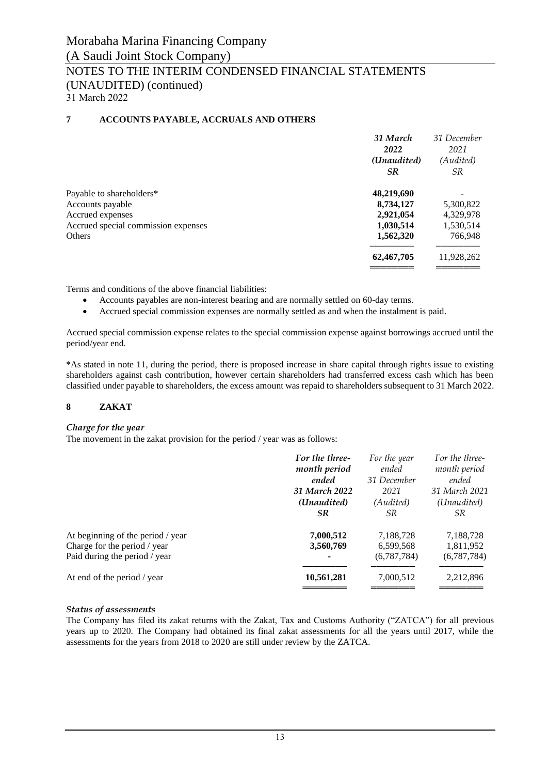## **7 ACCOUNTS PAYABLE, ACCRUALS AND OTHERS**

|                                     | 31 March    | 31 December |
|-------------------------------------|-------------|-------------|
|                                     | 2022        | 2021        |
|                                     | (Unaudited) | (Audited)   |
|                                     | <b>SR</b>   | SR.         |
| Payable to shareholders*            | 48,219,690  |             |
| Accounts payable                    | 8,734,127   | 5,300,822   |
| Accrued expenses                    | 2,921,054   | 4,329,978   |
| Accrued special commission expenses | 1,030,514   | 1,530,514   |
| Others                              | 1,562,320   | 766,948     |
|                                     | 62,467,705  | 11,928,262  |
|                                     |             |             |

Terms and conditions of the above financial liabilities:

- Accounts payables are non-interest bearing and are normally settled on 60-day terms.
- Accrued special commission expenses are normally settled as and when the instalment is paid.

Accrued special commission expense relates to the special commission expense against borrowings accrued until the period/year end.

\*As stated in note 11, during the period, there is proposed increase in share capital through rights issue to existing shareholders against cash contribution, however certain shareholders had transferred excess cash which has been classified under payable to shareholders, the excess amount was repaid to shareholders subsequent to 31 March 2022.

## **8 ZAKAT**

#### *Charge for the year*

The movement in the zakat provision for the period / year was as follows:

|                                   | For the three- | For the year | For the three- |
|-----------------------------------|----------------|--------------|----------------|
|                                   | month period   | ended        | month period   |
|                                   | ended          | 31 December  | ended          |
|                                   | 31 March 2022  | 2021         | 31 March 2021  |
|                                   | (Unaudited)    | (Audited)    | (Unaudited)    |
|                                   | <b>SR</b>      | <i>SR</i>    | SR.            |
| At beginning of the period / year | 7,000,512      | 7,188,728    | 7,188,728      |
| Charge for the period / year      | 3,560,769      | 6,599,568    | 1,811,952      |
| Paid during the period / year     | ٠              | (6,787,784)  | (6,787,784)    |
| At end of the period / year       | 10,561,281     | 7,000,512    | 2,212,896      |
|                                   |                |              |                |

## *Status of assessments*

The Company has filed its zakat returns with the Zakat, Tax and Customs Authority ("ZATCA") for all previous years up to 2020. The Company had obtained its final zakat assessments for all the years until 2017, while the assessments for the years from 2018 to 2020 are still under review by the ZATCA.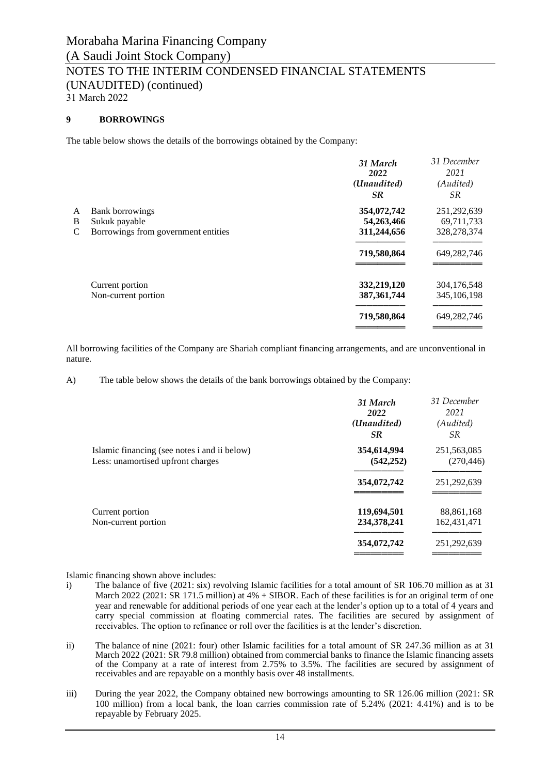## **9 BORROWINGS**

The table below shows the details of the borrowings obtained by the Company:

|   |                                     | 31 March<br>2022 | 31 December<br>2021 |
|---|-------------------------------------|------------------|---------------------|
|   |                                     | (Unaudited)      | (Audited)           |
|   |                                     | SR.              | SR.                 |
| A | <b>Bank borrowings</b>              | 354,072,742      | 251,292,639         |
| B | Sukuk payable                       | 54,263,466       | 69,711,733          |
| C | Borrowings from government entities | 311,244,656      | 328,278,374         |
|   |                                     | 719,580,864      | 649,282,746         |
|   | Current portion                     | 332,219,120      | 304,176,548         |
|   | Non-current portion                 | 387, 361, 744    | 345,106,198         |
|   |                                     | 719,580,864      | 649,282,746         |
|   |                                     |                  |                     |

All borrowing facilities of the Company are Shariah compliant financing arrangements, and are unconventional in nature.

A) The table below shows the details of the bank borrowings obtained by the Company:

|                                                                                   | 31 March<br>2022<br>(Unaudited)<br><b>SR</b> | 31 December<br>2021<br>(Audited)<br><i>SR</i> |
|-----------------------------------------------------------------------------------|----------------------------------------------|-----------------------------------------------|
| Islamic financing (see notes i and ii below)<br>Less: unamortised upfront charges | 354,614,994<br>(542, 252)                    | 251,563,085<br>(270, 446)                     |
|                                                                                   | 354,072,742                                  | 251,292,639                                   |
| Current portion<br>Non-current portion                                            | 119,694,501<br>234,378,241                   | 88,861,168<br>162,431,471                     |
|                                                                                   | 354,072,742                                  | 251,292,639                                   |

Islamic financing shown above includes:

- i) The balance of five (2021: six) revolving Islamic facilities for a total amount of SR 106.70 million as at 31 March 2022 (2021: SR 171.5 million) at  $4\%$  + SIBOR. Each of these facilities is for an original term of one year and renewable for additional periods of one year each at the lender's option up to a total of 4 years and carry special commission at floating commercial rates. The facilities are secured by assignment of receivables. The option to refinance or roll over the facilities is at the lender's discretion.
- ii) The balance of nine (2021: four) other Islamic facilities for a total amount of SR 247.36 million as at 31 March 2022 (2021: SR 79.8 million) obtained from commercial banks to finance the Islamic financing assets of the Company at a rate of interest from 2.75% to 3.5%. The facilities are secured by assignment of receivables and are repayable on a monthly basis over 48 installments.
- iii) During the year 2022, the Company obtained new borrowings amounting to SR 126.06 million (2021: SR 100 million) from a local bank, the loan carries commission rate of 5.24% (2021: 4.41%) and is to be repayable by February 2025.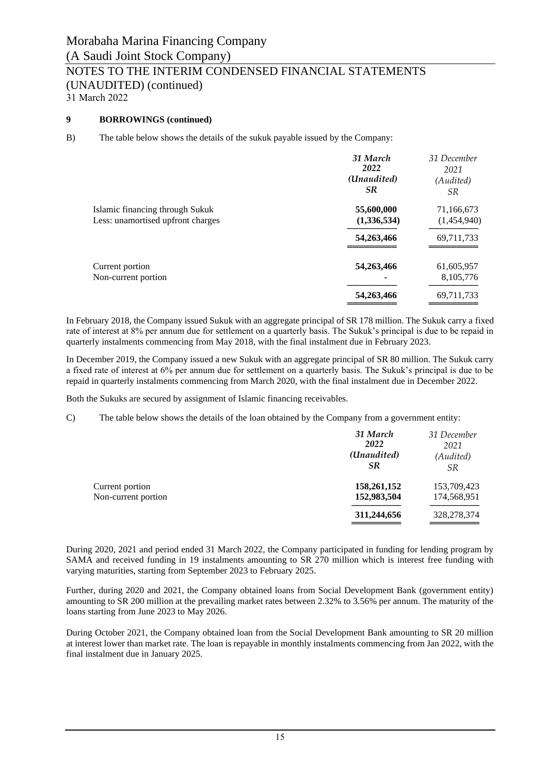## **9 BORROWINGS (continued)**

B) The table below shows the details of the sukuk payable issued by the Company:

|                                                                      | 31 March<br>2022<br>(Unaudited)<br><b>SR</b> | 31 December<br>2021<br>(Audited)<br>SR |
|----------------------------------------------------------------------|----------------------------------------------|----------------------------------------|
| Islamic financing through Sukuk<br>Less: unamortised upfront charges | 55,600,000<br>(1,336,534)                    | 71,166,673<br>(1,454,940)              |
|                                                                      | 54,263,466                                   | 69,711,733                             |
| Current portion<br>Non-current portion                               | 54,263,466                                   | 61,605,957<br>8,105,776                |
|                                                                      | 54,263,466                                   | 69,711,733                             |

In February 2018, the Company issued Sukuk with an aggregate principal of SR 178 million. The Sukuk carry a fixed rate of interest at 8% per annum due for settlement on a quarterly basis. The Sukuk's principal is due to be repaid in quarterly instalments commencing from May 2018, with the final instalment due in February 2023.

In December 2019, the Company issued a new Sukuk with an aggregate principal of SR 80 million. The Sukuk carry a fixed rate of interest at 6% per annum due for settlement on a quarterly basis. The Sukuk's principal is due to be repaid in quarterly instalments commencing from March 2020, with the final instalment due in December 2022.

Both the Sukuks are secured by assignment of Islamic financing receivables.

C) The table below shows the details of the loan obtained by the Company from a government entity:

|                                        | 31 March<br>2022<br>(Unaudited)<br>SR. | 31 December<br>2021<br>(Audited)<br><i>SR</i> |
|----------------------------------------|----------------------------------------|-----------------------------------------------|
| Current portion<br>Non-current portion | 158,261,152<br>152,983,504             | 153,709,423<br>174,568,951                    |
|                                        | 311,244,656                            | 328,278,374                                   |

During 2020, 2021 and period ended 31 March 2022, the Company participated in funding for lending program by SAMA and received funding in 19 instalments amounting to SR 270 million which is interest free funding with varying maturities, starting from September 2023 to February 2025.

Further, during 2020 and 2021, the Company obtained loans from Social Development Bank (government entity) amounting to SR 200 million at the prevailing market rates between 2.32% to 3.56% per annum. The maturity of the loans starting from June 2023 to May 2026.

During October 2021, the Company obtained loan from the Social Development Bank amounting to SR 20 million at interest lower than market rate. The loan is repayable in monthly instalments commencing from Jan 2022, with the final instalment due in January 2025.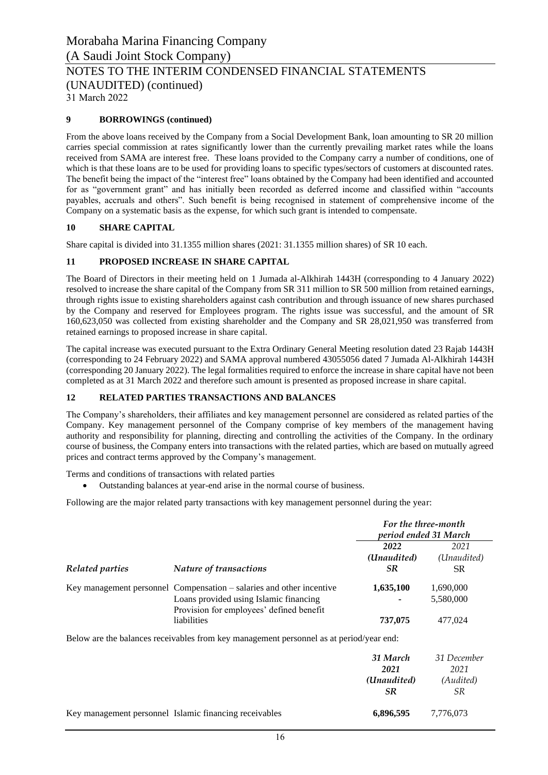31 March 2022

## **9 BORROWINGS (continued)**

From the above loans received by the Company from a Social Development Bank, loan amounting to SR 20 million carries special commission at rates significantly lower than the currently prevailing market rates while the loans received from SAMA are interest free. These loans provided to the Company carry a number of conditions, one of which is that these loans are to be used for providing loans to specific types/sectors of customers at discounted rates. The benefit being the impact of the "interest free" loans obtained by the Company had been identified and accounted for as "government grant" and has initially been recorded as deferred income and classified within "accounts payables, accruals and others". Such benefit is being recognised in statement of comprehensive income of the Company on a systematic basis as the expense, for which such grant is intended to compensate.

## **10 SHARE CAPITAL**

Share capital is divided into 31.1355 million shares (2021: 31.1355 million shares) of SR 10 each.

## **11 PROPOSED INCREASE IN SHARE CAPITAL**

The Board of Directors in their meeting held on 1 Jumada al-Alkhirah 1443H (corresponding to 4 January 2022) resolved to increase the share capital of the Company from SR 311 million to SR 500 million from retained earnings, through rights issue to existing shareholders against cash contribution and through issuance of new shares purchased by the Company and reserved for Employees program. The rights issue was successful, and the amount of SR 160,623,050 was collected from existing shareholder and the Company and SR 28,021,950 was transferred from retained earnings to proposed increase in share capital.

The capital increase was executed pursuant to the Extra Ordinary General Meeting resolution dated 23 Rajab 1443H (corresponding to 24 February 2022) and SAMA approval numbered 43055056 dated 7 Jumada Al-Alkhirah 1443H (corresponding 20 January 2022). The legal formalities required to enforce the increase in share capital have not been completed as at 31 March 2022 and therefore such amount is presented as proposed increase in share capital.

## **12 RELATED PARTIES TRANSACTIONS AND BALANCES**

The Company's shareholders, their affiliates and key management personnel are considered as related parties of the Company. Key management personnel of the Company comprise of key members of the management having authority and responsibility for planning, directing and controlling the activities of the Company. In the ordinary course of business, the Company enters into transactions with the related parties, which are based on mutually agreed prices and contract terms approved by the Company's management.

Terms and conditions of transactions with related parties

• Outstanding balances at year-end arise in the normal course of business.

Following are the major related party transactions with key management personnel during the year:

|                 |                                                                                         | For the three-month<br>period ended 31 March |             |
|-----------------|-----------------------------------------------------------------------------------------|----------------------------------------------|-------------|
|                 |                                                                                         | 2022                                         | 2021        |
|                 |                                                                                         | (Unaudited)                                  | (Unaudited) |
| Related parties | Nature of transactions                                                                  | SR.                                          | SR.         |
|                 | Key management personnel Compensation – salaries and other incentive                    | 1,635,100                                    | 1,690,000   |
|                 | Loans provided using Islamic financing<br>Provision for employees' defined benefit      |                                              | 5,580,000   |
|                 | liabilities                                                                             | 737,075                                      | 477,024     |
|                 | Below are the balances receivables from key management personnel as at period/year end: |                                              |             |
|                 |                                                                                         | 31 March                                     | 31 December |
|                 |                                                                                         | 2021                                         | 2021        |
|                 |                                                                                         | (Unaudited)                                  | (Audited)   |
|                 |                                                                                         | <b>SR</b>                                    | SR.         |
|                 | Key management personnel Islamic financing receivables                                  | 6,896,595                                    | 7.776.073   |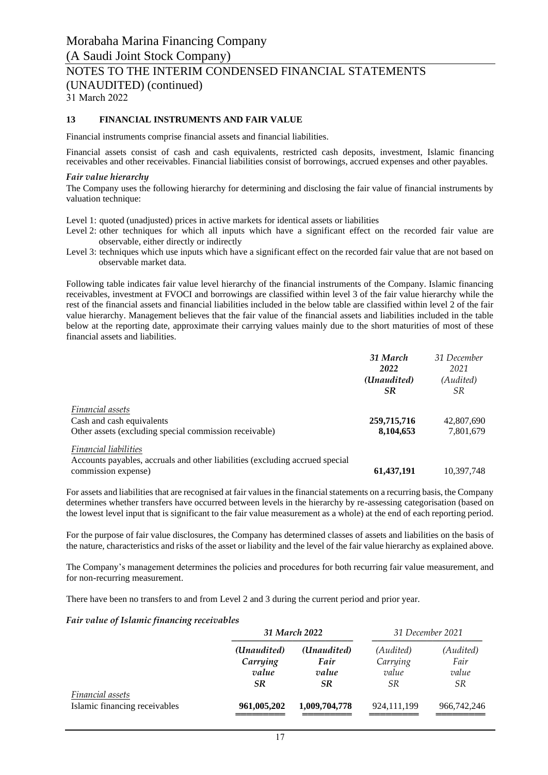31 March 2022

### **13 FINANCIAL INSTRUMENTS AND FAIR VALUE**

Financial instruments comprise financial assets and financial liabilities.

Financial assets consist of cash and cash equivalents, restricted cash deposits, investment, Islamic financing receivables and other receivables. Financial liabilities consist of borrowings, accrued expenses and other payables.

#### *Fair value hierarchy*

The Company uses the following hierarchy for determining and disclosing the fair value of financial instruments by valuation technique:

Level 1: quoted (unadjusted) prices in active markets for identical assets or liabilities

- Level 2: other techniques for which all inputs which have a significant effect on the recorded fair value are observable, either directly or indirectly
- Level 3: techniques which use inputs which have a significant effect on the recorded fair value that are not based on observable market data.

Following table indicates fair value level hierarchy of the financial instruments of the Company. Islamic financing receivables, investment at FVOCI and borrowings are classified within level 3 of the fair value hierarchy while the rest of the financial assets and financial liabilities included in the below table are classified within level 2 of the fair value hierarchy. Management believes that the fair value of the financial assets and liabilities included in the table below at the reporting date, approximate their carrying values mainly due to the short maturities of most of these financial assets and liabilities.

|                                                                              | 31 March    | 31 December |
|------------------------------------------------------------------------------|-------------|-------------|
|                                                                              | 2022        | 2021        |
|                                                                              | (Unaudited) | (Audited)   |
|                                                                              | <b>SR</b>   | SR          |
| Financial assets                                                             |             |             |
| Cash and cash equivalents                                                    | 259,715,716 | 42,807,690  |
| Other assets (excluding special commission receivable)                       | 8,104,653   | 7,801,679   |
| <b>Financial liabilities</b>                                                 |             |             |
| Accounts payables, accruals and other liabilities (excluding accrued special |             |             |
| commission expense)                                                          | 61,437,191  | 10.397.748  |

For assets and liabilities that are recognised at fair values in the financial statements on a recurring basis, the Company determines whether transfers have occurred between levels in the hierarchy by re-assessing categorisation (based on the lowest level input that is significant to the fair value measurement as a whole) at the end of each reporting period.

For the purpose of fair value disclosures, the Company has determined classes of assets and liabilities on the basis of the nature, characteristics and risks of the asset or liability and the level of the fair value hierarchy as explained above.

The Company's management determines the policies and procedures for both recurring fair value measurement, and for non-recurring measurement.

There have been no transfers to and from Level 2 and 3 during the current period and prior year.

#### *Fair value of Islamic financing receivables*

|                                                   | 31 March 2022                          |                                           | 31 December 2021                     |                                         |
|---------------------------------------------------|----------------------------------------|-------------------------------------------|--------------------------------------|-----------------------------------------|
|                                                   | (Unaudited)<br>Carrying<br>value<br>SR | (Unaudited)<br>Fair<br>value<br><b>SR</b> | (Audited)<br>Carrying<br>value<br>SR | (Audited)<br>Fair<br>value<br><i>SR</i> |
| Financial assets<br>Islamic financing receivables | 961,005,202                            | 1,009,704,778                             | 924,111,199                          | 966,742,246                             |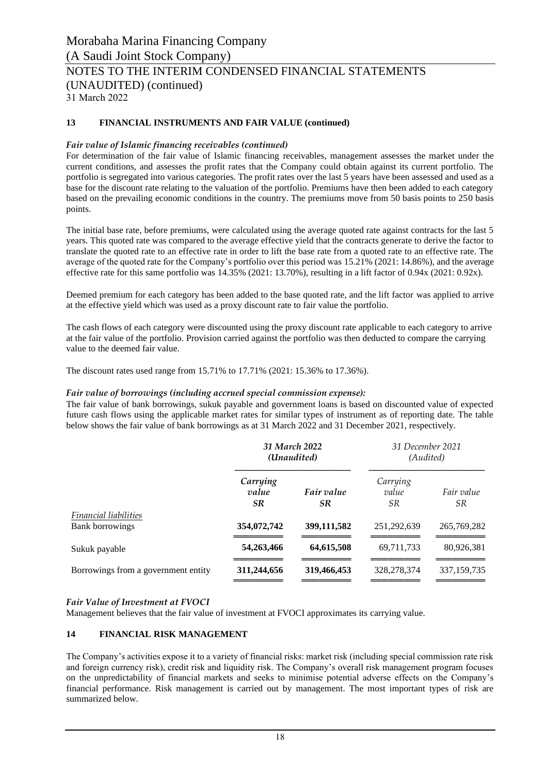31 March 2022

## **13 FINANCIAL INSTRUMENTS AND FAIR VALUE (continued)**

#### *Fair value of Islamic financing receivables (continued)*

For determination of the fair value of Islamic financing receivables, management assesses the market under the current conditions, and assesses the profit rates that the Company could obtain against its current portfolio. The portfolio is segregated into various categories. The profit rates over the last 5 years have been assessed and used as a base for the discount rate relating to the valuation of the portfolio. Premiums have then been added to each category based on the prevailing economic conditions in the country. The premiums move from 50 basis points to 250 basis points.

The initial base rate, before premiums, were calculated using the average quoted rate against contracts for the last 5 years. This quoted rate was compared to the average effective yield that the contracts generate to derive the factor to translate the quoted rate to an effective rate in order to lift the base rate from a quoted rate to an effective rate. The average of the quoted rate for the Company's portfolio over this period was 15.21% (2021: 14.86%), and the average effective rate for this same portfolio was 14.35% (2021: 13.70%), resulting in a lift factor of 0.94x (2021: 0.92x).

Deemed premium for each category has been added to the base quoted rate, and the lift factor was applied to arrive at the effective yield which was used as a proxy discount rate to fair value the portfolio.

The cash flows of each category were discounted using the proxy discount rate applicable to each category to arrive at the fair value of the portfolio. Provision carried against the portfolio was then deducted to compare the carrying value to the deemed fair value.

The discount rates used range from 15.71% to 17.71% (2021: 15.36% to 17.36%).

#### *Fair value of borrowings (including accrued special commission expense):*

The fair value of bank borrowings, sukuk payable and government loans is based on discounted value of expected future cash flows using the applicable market rates for similar types of instrument as of reporting date. The table below shows the fair value of bank borrowings as at 31 March 2022 and 31 December 2021, respectively.

|                                                        | 31 March 2022<br>(Unaudited)   |                   | 31 December 2021<br>(Audited) |                   |
|--------------------------------------------------------|--------------------------------|-------------------|-------------------------------|-------------------|
|                                                        | Carrying<br>value<br><b>SR</b> | Fair value<br>SR. | Carrying<br>value<br>SR.      | Fair value<br>SR. |
| <b>Financial liabilities</b><br><b>Bank borrowings</b> | 354,072,742                    | 399,111,582       | 251,292,639                   | 265,769,282       |
| Sukuk payable                                          | 54,263,466                     | 64,615,508        | 69,711,733                    | 80,926,381        |
| Borrowings from a government entity                    | 311,244,656                    | 319,466,453       | 328, 278, 374                 | 337, 159, 735     |

#### *Fair Value of Investment at FVOCI*

Management believes that the fair value of investment at FVOCI approximates its carrying value.

#### **14 FINANCIAL RISK MANAGEMENT**

The Company's activities expose it to a variety of financial risks: market risk (including special commission rate risk and foreign currency risk), credit risk and liquidity risk. The Company's overall risk management program focuses on the unpredictability of financial markets and seeks to minimise potential adverse effects on the Company's financial performance. Risk management is carried out by management. The most important types of risk are summarized below.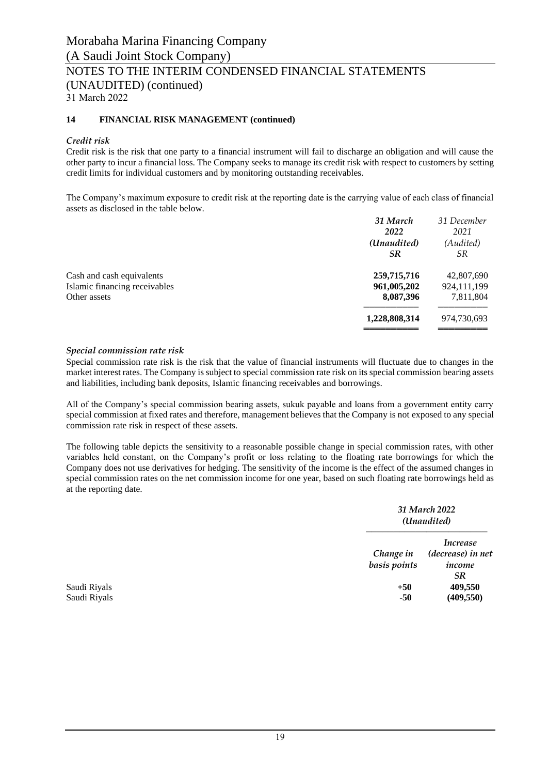## **14 FINANCIAL RISK MANAGEMENT (continued)**

## *Credit risk*

Credit risk is the risk that one party to a financial instrument will fail to discharge an obligation and will cause the other party to incur a financial loss. The Company seeks to manage its credit risk with respect to customers by setting credit limits for individual customers and by monitoring outstanding receivables.

The Company's maximum exposure to credit risk at the reporting date is the carrying value of each class of financial assets as disclosed in the table below.

|                               | 31 March      | 31 December |
|-------------------------------|---------------|-------------|
|                               | 2022          | 2021        |
|                               | (Unaudited)   | (Audited)   |
|                               | SR            | <i>SR</i>   |
| Cash and cash equivalents     | 259,715,716   | 42,807,690  |
| Islamic financing receivables | 961,005,202   | 924,111,199 |
| Other assets                  | 8,087,396     | 7,811,804   |
|                               | 1,228,808,314 | 974,730,693 |
|                               |               |             |

#### *Special commission rate risk*

Special commission rate risk is the risk that the value of financial instruments will fluctuate due to changes in the market interest rates. The Company is subject to special commission rate risk on its special commission bearing assets and liabilities, including bank deposits, Islamic financing receivables and borrowings.

All of the Company's special commission bearing assets, sukuk payable and loans from a government entity carry special commission at fixed rates and therefore, management believes that the Company is not exposed to any special commission rate risk in respect of these assets.

The following table depicts the sensitivity to a reasonable possible change in special commission rates, with other variables held constant, on the Company's profit or loss relating to the floating rate borrowings for which the Company does not use derivatives for hedging. The sensitivity of the income is the effect of the assumed changes in special commission rates on the net commission income for one year, based on such floating rate borrowings held as at the reporting date.

|              |                           | 31 March 2022<br>(Unaudited)                                |
|--------------|---------------------------|-------------------------------------------------------------|
|              | Change in<br>basis points | <i>Increase</i><br>(decrease) in net<br>income<br><b>SR</b> |
| Saudi Riyals | $+50$                     | 409,550                                                     |
| Saudi Riyals | -50                       | (409, 550)                                                  |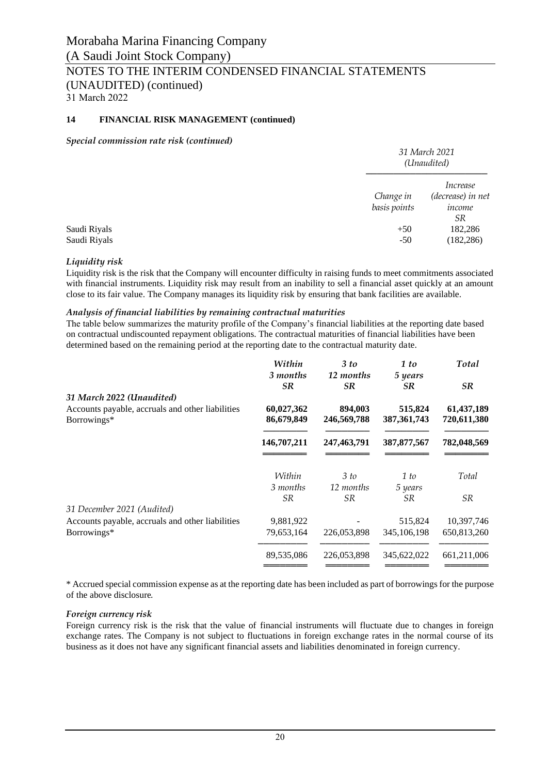## **14 FINANCIAL RISK MANAGEMENT (continued)**

#### *Special commission rate risk (continued)*

|                              |                           | 31 March 2021<br>(Unaudited)                         |
|------------------------------|---------------------------|------------------------------------------------------|
|                              | Change in<br>basis points | Increase<br>(decrease) in net<br>income<br><i>SR</i> |
| Saudi Riyals<br>Saudi Riyals | $+50$<br>$-50$            | 182,286<br>(182, 286)                                |

#### *Liquidity risk*

Liquidity risk is the risk that the Company will encounter difficulty in raising funds to meet commitments associated with financial instruments. Liquidity risk may result from an inability to sell a financial asset quickly at an amount close to its fair value. The Company manages its liquidity risk by ensuring that bank facilities are available.

#### *Analysis of financial liabilities by remaining contractual maturities*

The table below summarizes the maturity profile of the Company's financial liabilities at the reporting date based on contractual undiscounted repayment obligations. The contractual maturities of financial liabilities have been determined based on the remaining period at the reporting date to the contractual maturity date.

|                                                  | Within      | 3 to          | 1 to          | <b>Total</b> |
|--------------------------------------------------|-------------|---------------|---------------|--------------|
|                                                  | 3 months    | 12 months     | 5 years       |              |
|                                                  | <b>SR</b>   | <b>SR</b>     | SR.           | <b>SR</b>    |
| 31 March 2022 (Unaudited)                        |             |               |               |              |
| Accounts payable, accruals and other liabilities | 60,027,362  | 894,003       | 515,824       | 61,437,189   |
| Borrowings*                                      | 86,679,849  | 246,569,788   | 387, 361, 743 | 720,611,380  |
|                                                  | 146,707,211 | 247, 463, 791 | 387, 877, 567 | 782,048,569  |
|                                                  | Within      | 3 to          | 1 to          | Total        |
|                                                  | 3 months    | 12 months     | 5 years       |              |
|                                                  | <i>SR</i>   | <i>SR</i>     | <i>SR</i>     | SR.          |
| 31 December 2021 (Audited)                       |             |               |               |              |
| Accounts payable, accruals and other liabilities | 9,881,922   |               | 515,824       | 10,397,746   |
| Borrowings*                                      | 79,653,164  | 226,053,898   | 345, 106, 198 | 650,813,260  |
|                                                  | 89,535,086  | 226,053,898   | 345,622,022   | 661,211,006  |
|                                                  |             |               |               |              |

\* Accrued special commission expense as at the reporting date has been included as part of borrowings for the purpose of the above disclosure*.*

#### *Foreign currency risk*

Foreign currency risk is the risk that the value of financial instruments will fluctuate due to changes in foreign exchange rates. The Company is not subject to fluctuations in foreign exchange rates in the normal course of its business as it does not have any significant financial assets and liabilities denominated in foreign currency.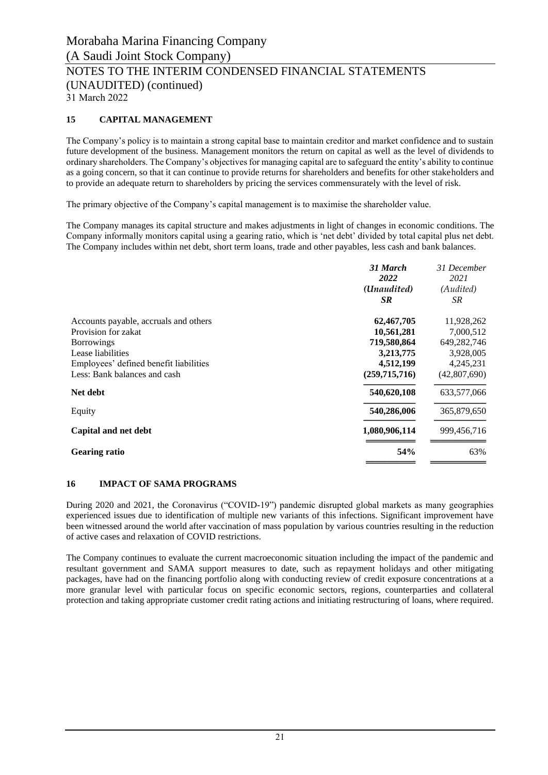## **15 CAPITAL MANAGEMENT**

The Company's policy is to maintain a strong capital base to maintain creditor and market confidence and to sustain future development of the business. Management monitors the return on capital as well as the level of dividends to ordinary shareholders. The Company's objectives for managing capital are to safeguard the entity's ability to continue as a going concern, so that it can continue to provide returns for shareholders and benefits for other stakeholders and to provide an adequate return to shareholders by pricing the services commensurately with the level of risk.

The primary objective of the Company's capital management is to maximise the shareholder value.

The Company manages its capital structure and makes adjustments in light of changes in economic conditions. The Company informally monitors capital using a gearing ratio, which is 'net debt' divided by total capital plus net debt. The Company includes within net debt, short term loans, trade and other payables, less cash and bank balances.

|                                        | 31 March<br>2022<br>(Unaudited)<br><b>SR</b> | 31 December<br>2021<br>(Audited)<br>SR |
|----------------------------------------|----------------------------------------------|----------------------------------------|
| Accounts payable, accruals and others  | 62,467,705                                   | 11,928,262                             |
| Provision for zakat                    | 10,561,281                                   | 7,000,512                              |
| <b>Borrowings</b>                      | 719,580,864                                  | 649,282,746                            |
| Lease liabilities                      | 3,213,775                                    | 3,928,005                              |
| Employees' defined benefit liabilities | 4,512,199                                    | 4,245,231                              |
| Less: Bank balances and cash           | (259,715,716)                                | (42,807,690)                           |
| Net debt                               | 540,620,108                                  | 633,577,066                            |
| Equity                                 | 540,286,006                                  | 365,879,650                            |
| Capital and net debt                   | 1,080,906,114                                | 999,456,716                            |
| <b>Gearing ratio</b>                   | 54%                                          | 63%                                    |
|                                        |                                              |                                        |

#### **16 IMPACT OF SAMA PROGRAMS**

During 2020 and 2021, the Coronavirus ("COVID-19") pandemic disrupted global markets as many geographies experienced issues due to identification of multiple new variants of this infections. Significant improvement have been witnessed around the world after vaccination of mass population by various countries resulting in the reduction of active cases and relaxation of COVID restrictions.

The Company continues to evaluate the current macroeconomic situation including the impact of the pandemic and resultant government and SAMA support measures to date, such as repayment holidays and other mitigating packages, have had on the financing portfolio along with conducting review of credit exposure concentrations at a more granular level with particular focus on specific economic sectors, regions, counterparties and collateral protection and taking appropriate customer credit rating actions and initiating restructuring of loans, where required.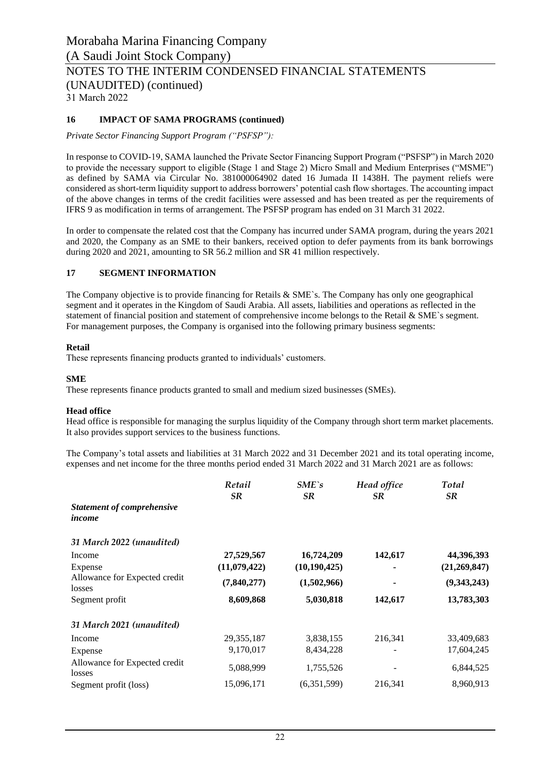## **16 IMPACT OF SAMA PROGRAMS (continued)**

*Private Sector Financing Support Program ("PSFSP"):*

In response to COVID-19, SAMA launched the Private Sector Financing Support Program ("PSFSP") in March 2020 to provide the necessary support to eligible (Stage 1 and Stage 2) Micro Small and Medium Enterprises ("MSME") as defined by SAMA via Circular No. 381000064902 dated 16 Jumada II 1438H. The payment reliefs were considered as short-term liquidity support to address borrowers' potential cash flow shortages. The accounting impact of the above changes in terms of the credit facilities were assessed and has been treated as per the requirements of IFRS 9 as modification in terms of arrangement. The PSFSP program has ended on 31 March 31 2022.

In order to compensate the related cost that the Company has incurred under SAMA program, during the years 2021 and 2020, the Company as an SME to their bankers, received option to defer payments from its bank borrowings during 2020 and 2021, amounting to SR 56.2 million and SR 41 million respectively.

## **17 SEGMENT INFORMATION**

The Company objective is to provide financing for Retails & SME`s. The Company has only one geographical segment and it operates in the Kingdom of Saudi Arabia. All assets, liabilities and operations as reflected in the statement of financial position and statement of comprehensive income belongs to the Retail & SME`s segment. For management purposes, the Company is organised into the following primary business segments:

## **Retail**

These represents financing products granted to individuals' customers.

## **SME**

These represents finance products granted to small and medium sized businesses (SMEs).

## **Head office**

Head office is responsible for managing the surplus liquidity of the Company through short term market placements. It also provides support services to the business functions.

The Company's total assets and liabilities at 31 March 2022 and 31 December 2021 and its total operating income, expenses and net income for the three months period ended 31 March 2022 and 31 March 2021 are as follows:

|                                   | Retail        | $SME$ `s       | Head office | Total          |
|-----------------------------------|---------------|----------------|-------------|----------------|
|                                   | <b>SR</b>     | <b>SR</b>      | SR.         | <b>SR</b>      |
| <b>Statement of comprehensive</b> |               |                |             |                |
| income                            |               |                |             |                |
| 31 March 2022 (unaudited)         |               |                |             |                |
| Income                            | 27,529,567    | 16,724,209     | 142,617     | 44,396,393     |
| Expense                           | (11,079,422)  | (10, 190, 425) |             | (21, 269, 847) |
| Allowance for Expected credit     | (7, 840, 277) | (1,502,966)    |             | (9,343,243)    |
| losses                            |               |                |             |                |
| Segment profit                    | 8,609,868     | 5,030,818      | 142,617     | 13,783,303     |
| 31 March 2021 (unaudited)         |               |                |             |                |
| Income                            | 29, 355, 187  | 3,838,155      | 216,341     | 33,409,683     |
| Expense                           | 9,170,017     | 8,434,228      |             | 17,604,245     |
| Allowance for Expected credit     | 5,088,999     | 1,755,526      |             | 6,844,525      |
| losses                            |               |                |             | 8.960.913      |
| Segment profit (loss)             | 15,096,171    | (6,351,599)    | 216,341     |                |